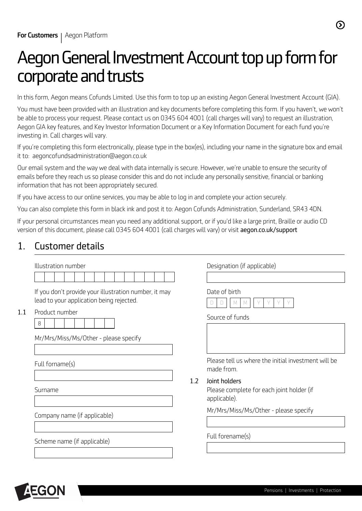# *Aegon General Investment Account top up form for corporate and trusts*

*In this form, Aegon means Cofunds Limited. Use this form to top up an existing Aegon General Investment Account (GIA).* 

*You must have been provided with an illustration and key documents before completing this form. If you haven't, we won't be able to process your request. Please contact us on 0345 604 4001 (call charges will vary) to request an illustration, Aegon GIA key features, and Key Investor Information Document or a Key Information Document for each fund you're investing in. Call charges will vary.* 

*If you're completing this form electronically, please type in the box(es), including your name in the signature box and email it to: aegoncofundsadministration@aegon.co.uk* 

*Our email system and the way we deal with data internally is secure. However, we're unable to ensure the security of emails before they reach us so please consider this and do not include any personally sensitive, financial or banking information that has not been appropriately secured.*

*If you have access to our online services, you may be able to log in and complete your action securely.*

*You can also complete this form in black ink and post it to: Aegon Cofunds Administration, Sunderland, SR43 4DN.*

*If your personal circumstances mean you need any additional support, or if you'd like a large print, Braille or audio CD version of this document, please call 0345 604 4001 (call charges will vary) or visit aegon.co.uk/support* 

### *1. Customer details*

|     | Illustration number                                                                                                      |     | Designation (if applicable)                                                |  |
|-----|--------------------------------------------------------------------------------------------------------------------------|-----|----------------------------------------------------------------------------|--|
| 1.1 | If you don't provide your illustration number, it may<br>lead to your application being rejected.<br>Product number<br>8 |     | Date of birth<br>Source of funds                                           |  |
|     | Mr/Mrs/Miss/Ms/Other - please specify<br>Full forname(s)                                                                 |     | Please tell us where the initial investment will be<br>made from.          |  |
|     | Surname                                                                                                                  | 1.2 | Joint holders<br>Please complete for each joint holder (if<br>applicable). |  |
|     | Company name (if applicable)                                                                                             |     | Mr/Mrs/Miss/Ms/Other - please specify                                      |  |
|     | Scheme name (if applicable)                                                                                              |     | Full forename(s)                                                           |  |

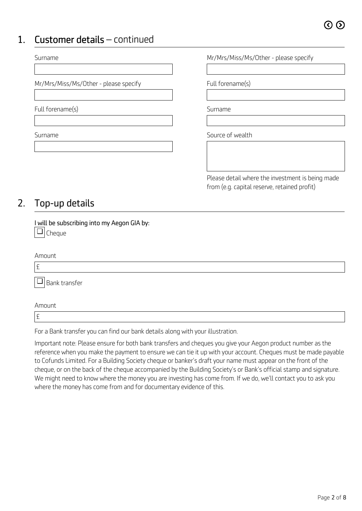### *1. Customer details – continued*

| Surname                               | Mr/Mrs/Miss/Ms/Other - please specify            |
|---------------------------------------|--------------------------------------------------|
|                                       |                                                  |
| Mr/Mrs/Miss/Ms/Other - please specify | Full forename(s)                                 |
|                                       |                                                  |
| Full forename(s)                      | Surname                                          |
|                                       |                                                  |
| Surname                               | Source of wealth                                 |
|                                       |                                                  |
|                                       |                                                  |
|                                       | Please detail where the investment is being made |

*from (e.g. capital reserve, retained profit)*

### *2. Top-up details*

*£* 

*I will be subscribing into my Aegon GIA by: Cheque* ❏

| Amount                             |  |
|------------------------------------|--|
| £                                  |  |
| $\sqrt{\frac{1}{2}}$ Bank transfer |  |
| Amount                             |  |

*For a Bank transfer you can find our bank details along with your illustration.*

*Important note: Please ensure for both bank transfers and cheques you give your Aegon product number as the reference when you make the payment to ensure we can tie it up with your account. Cheques must be made payable to Cofunds Limited. For a Building Society cheque or banker's draft your name must appear on the front of the cheque, or on the back of the cheque accompanied by the Building Society's or Bank's official stamp and signature. We might need to know where the money you are investing has come from. If we do, we'll contact you to ask you where the money has come from and for documentary evidence of this.*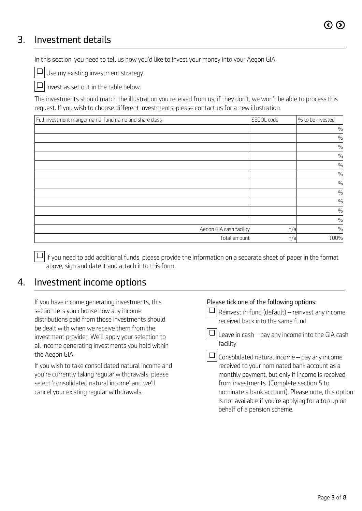### *3. Investment details*

*In this section, you need to tell us how you'd like to invest your money into your Aegon GIA.* 

❏

*Use my existing investment strategy.* 

*Invest as set out in the table below.*  ❏

*The investments should match the illustration you received from us, if they don't, we won't be able to process this request. If you wish to choose different investments, please contact us for a new illustration.* 

| Full investment manger name, fund name and share class | SEDOL code | % to be invested |
|--------------------------------------------------------|------------|------------------|
|                                                        |            | $\frac{0}{0}$    |
|                                                        |            | $\frac{0}{0}$    |
|                                                        |            | $\frac{0}{0}$    |
|                                                        |            | $\frac{0}{0}$    |
|                                                        |            | $\frac{0}{0}$    |
|                                                        |            | $\frac{0}{0}$    |
|                                                        |            | $\frac{0}{0}$    |
|                                                        |            | $\frac{0}{0}$    |
|                                                        |            | $\frac{0}{0}$    |
|                                                        |            | $\frac{0}{0}$    |
|                                                        |            | $\frac{0}{0}$    |
| Aegon GIA cash facility                                | n/a        | $\frac{0}{0}$    |
| Total amount                                           | n/a        | 100%             |

*If you need to add additional funds, please provide the information on a separate sheet of paper in the format* ❏ *above, sign and date it and attach it to this form.* 

❏

### *4. Investment income options*

*If you have income generating investments, this section lets you choose how any income distributions paid from those investments should be dealt with when we receive them from the investment provider. We'll apply your selection to all income generating investments you hold within the Aegon GIA.*

*If you wish to take consolidated natural income and you're currently taking regular withdrawals, please select 'consolidated natural income' and we'll cancel your existing regular withdrawals.* 

#### *Please tick one of the following options:*

*Reinvest in fund (default) – reinvest any income received back into the same fund.*



*Consolidated natural income – pay any income* ❏*received to your nominated bank account as a monthly payment, but only if income is received from investments. (Complete section 5 to nominate a bank account). Please note, this option is not available if you're applying for a top up on behalf of a pension scheme.*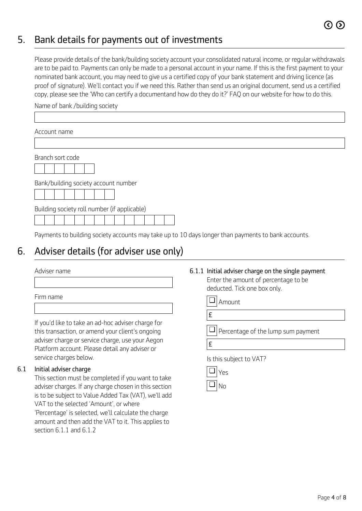### *5. Bank details for payments out of investments*

*Please provide details of the bank/building society account your consolidated natural income, or regular withdrawals are to be paid to. Payments can only be made to a personal account in your name. If this is the first payment to your nominated bank account, you may need to give us a certified copy of your bank statement and driving licence (as proof of signature). We'll contact you if we need this. Rather than send us an original document, send us a certified copy, please see the 'Who can certify a documentand how do they do it?' FAQ on our website for how to do this.*

*Name of bank /building society* 

| Account name                                                                                        |
|-----------------------------------------------------------------------------------------------------|
|                                                                                                     |
| Branch sort code                                                                                    |
| Bank/building society account number                                                                |
| Building society roll number (if applicable)                                                        |
| Payments to building society accounts may take up to 10 days longer than payments to bank accounts. |

### *6. Adviser details (for adviser use only)*

*Firm name* 

*If you'd like to take an ad-hoc adviser charge for this transaction, or amend your client's ongoing adviser charge or service charge, use your Aegon Platform account. Please detail any adviser or service charges below.*

#### *6.1 Initial adviser charge*

*This section must be completed if you want to take adviser charges. If any charge chosen in this section is to be subject to Value Added Tax (VAT), we'll add VAT to the selected 'Amount', or where*

*'Percentage' is selected, we'll calculate the charge amount and then add the VAT to it. This applies to section 6.1.1 and 6.1.2*

### *Adviser name 6.1.1 Initial adviser charge on the single payment*

*Enter the amount of percentage to be deducted. Tick one box only.*

|  | - Amount |
|--|----------|
|--|----------|

*Percentage of the lump sum payment* ❏

*£* 

*Is this subject to VAT?*

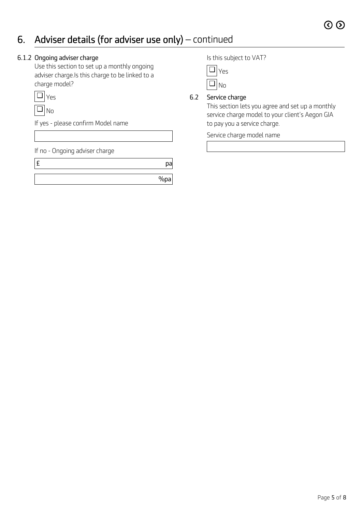### *6. Adviser details (for adviser use only) – continued*

#### *6.1.2 Ongoing adviser charge*

*Use this section to set up a monthly ongoing adviser charge.Is this charge to be linked to a charge model?*

| ς |
|---|
|   |

*If yes - please confirm Model name* 

*If no - Ongoing adviser charge* 

*£ pa %pa* *Is this subject to VAT?*

| г |
|---|
|   |

#### *6.2 Service charge*

*This section lets you agree and set up a monthly service charge model to your client's Aegon GIA to pay you a service charge.*

*Service charge model name*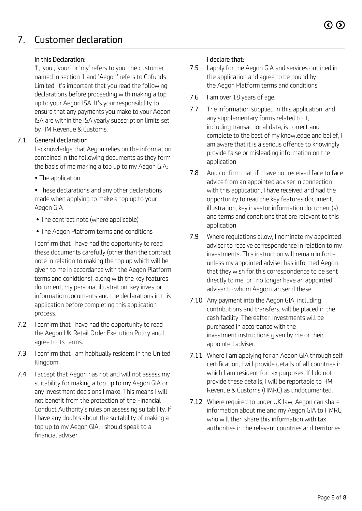## *7. Customer declaration*

#### *In this Declaration:*

*'I', 'you', 'your' or 'my' refers to you, the customer named in section 1 and 'Aegon' refers to Cofunds Limited. It's important that you read the following declarations before proceeding with making a top up to your Aegon ISA. It's your responsibility to ensure that any payments you make to your Aegon ISA are within the ISA yearly subscription limits set by HM Revenue & Customs.* 

#### *7.1 General declaration*

*I acknowledge that Aegon relies on the information contained in the following documents as they form the basis of me making a top up to my Aegon GIA:* 

*• The application* 

*• These declarations and any other declarations made when applying to make a top up to your Aegon GIA*

- *The contract note (where applicable)*
- *The Aegon Platform terms and conditions*

*I confirm that I have had the opportunity to read these documents carefully (other than the contract note in relation to making the top up which will be given to me in accordance with the Aegon Platform terms and conidtions), along with the key features document, my personal illustration, key investor information documents and the declarations in this application before completing this application process.* 

- *7.2 I confirm that I have had the opportunity to read the Aegon UK Retail Order Execution Policy and I agree to its terms.*
- *7.3 I confirm that I am habitually resident in the United Kingdom.*
- *7.4 I accept that Aegon has not and will not assess my suitability for making a top up to my Aegon GIA or any investment decisions I make. This means I will not benefit from the protection of the Financial Conduct Authority's rules on assessing suitability. If I have any doubts about the suitability of making a top up to my Aegon GIA, I should speak to a financial adviser.*

#### *I declare that:*

- *7.5 I apply for the Aegon GIA and services outlined in the application and agree to be bound by the Aegon Platform terms and conditions.*
- *7.6 I am over 18 years of age.*
- *7.7 The information supplied in this application, and any supplementary forms related to it, including transactional data, is correct and complete to the best of my knowledge and belief, I am aware that it is a serious offence to knowingly provide false or misleading information on the application.*
- *7.8 And confirm that, if I have not received face to face advice from an appointed adviser in connection with this application, I have received and had the opportunity to read the key features document, illustration, key investor information document(s) and terms and conditions that are relevant to this application.*
- *7.9 Where regulations allow, I nominate my appointed adviser to receive correspondence in relation to my investments. This instruction will remain in force unless my appointed adviser has informed Aegon that they wish for this correspondence to be sent directly to me, or I no longer have an appointed adviser to whom Aegon can send these.*
- *7.10 Any payment into the Aegon GIA, including contributions and transfers, will be placed in the cash facility. Thereafter, investments will be purchased in accordance with the investment instructions given by me or their appointed adviser.*
- *7.11 Where I am applying for an Aegon GIA through selfcertification, I will provide details of all countries in which I am resident for tax purposes. If I do not provide these details, I will be reportable to HM Revenue & Customs (HMRC) as undocumented.*
- *7.12 Where required to under UK law, Aegon can share information about me and my Aegon GIA to HMRC, who will then share this information with tax authorities in the relevant countries and territories.*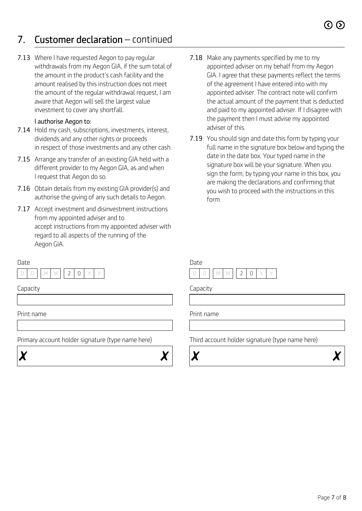### *7. Customer declaration – continued*

*7.13 Where I have requested Aegon to pay regular withdrawals from my Aegon GIA, if the sum total of the amount in the product's cash facility and the amount realised by this instruction does not meet the amount of the regular withdrawal request, I am aware that Aegon will sell the largest value investment to cover any shortfall.*

#### *I authorise Aegon to:*

- *7.14 Hold my cash, subscriptions, investments, interest, dividends and any other rights or proceeds in respect of those investments and any other cash.*
- *7.15 Arrange any transfer of an existing GIA held with a different provider to my Aegon GIA, as and when I request that Aegon do so.*
- *7.16 Obtain details from my existing GIA provider(s) and authorise the giving of any such details to Aegon.*
- *7.17 Accept investment and disinvestment instructions from my appointed adviser and to accept instructions from my appointed adviser with regard to all aspects of the running of the Aegon GIA.*

#### *Date*



*Print name Print name*

*Primary account holder signature (type name here) Third account holder signature (type name here)*



- *7.18 Make any payments specified by me to my appointed adviser on my behalf from my Aegon GIA. I agree that these payments reflect the terms of the agreement I have entered into with my appointed adviser. The contract note will confirm the actual amount of the payment that is deducted and paid to my appointed adviser. If I disagree with the payment then I must advise my appointed adviser of this.*
- *7.19 You should sign and date this form by typing your full name in the signature box below and typing the date in the date box. Your typed name in the signature box will be your signature. When you sign the form, by typing your name in this box, you are making the declarations and confirming that you wish to proceed with the instructions in this form.*



*Capacity Capacity*



χ